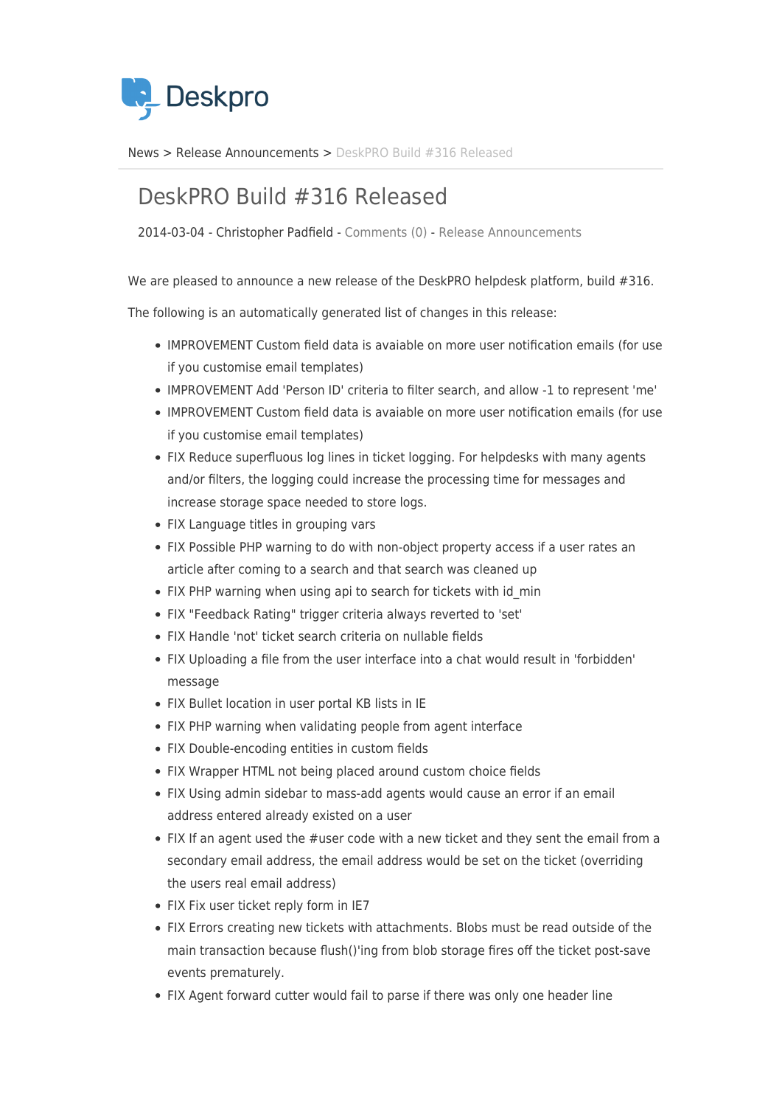

[News](https://support.deskpro.com/da/news) > [Release Announcements](https://support.deskpro.com/da/news/release-announcements) > [DeskPRO Build #316 Released](https://support.deskpro.com/da/news/posts/deskpro-build-316-released)

## DeskPRO Build #316 Released

2014-03-04 - Christopher Padfield - [Comments \(0\)](#page--1-0) - [Release Announcements](https://support.deskpro.com/da/news/release-announcements)

We are pleased to announce a new release of the DeskPRO helpdesk platform, build #316.

The following is an automatically generated list of changes in this release:

- IMPROVEMENT Custom field data is avaiable on more user notification emails (for use if you customise email templates)
- IMPROVEMENT Add 'Person ID' criteria to filter search, and allow -1 to represent 'me'
- IMPROVEMENT Custom field data is avaiable on more user notification emails (for use if you customise email templates)
- FIX Reduce superfluous log lines in ticket logging. For helpdesks with many agents and/or filters, the logging could increase the processing time for messages and increase storage space needed to store logs.
- FIX Language titles in grouping vars
- FIX Possible PHP warning to do with non-object property access if a user rates an article after coming to a search and that search was cleaned up
- FIX PHP warning when using api to search for tickets with id min
- FIX "Feedback Rating" trigger criteria always reverted to 'set'
- FIX Handle 'not' ticket search criteria on nullable fields
- FIX Uploading a file from the user interface into a chat would result in 'forbidden' message
- FIX Bullet location in user portal KB lists in IE
- FIX PHP warning when validating people from agent interface
- FIX Double-encoding entities in custom fields
- FIX Wrapper HTML not being placed around custom choice fields
- FIX Using admin sidebar to mass-add agents would cause an error if an email address entered already existed on a user
- FIX If an agent used the #user code with a new ticket and they sent the email from a secondary email address, the email address would be set on the ticket (overriding the users real email address)
- FIX Fix user ticket reply form in IE7
- FIX Errors creating new tickets with attachments. Blobs must be read outside of the main transaction because flush()'ing from blob storage fires off the ticket post-save events prematurely.
- FIX Agent forward cutter would fail to parse if there was only one header line